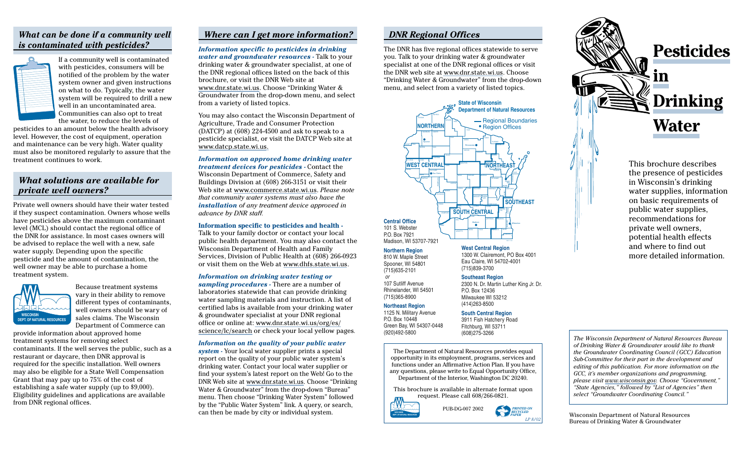## *What can be done if a community well is contaminated with pesticides?*



If a community well is contaminated with pesticides, consumers will be notified of the problem by the water system owner and given instructions on what to do. Typically, the water system will be required to drill a new well in an uncontaminated area. Communities can also opt to treat the water, to reduce the levels of

pesticides to an amount below the health advisory level. However, the cost of equipment, operation and maintenance can be very high. Water quality must also be monitored regularly to assure that the treatment continues to work.

## *What solutions are available for private well owners?*

Private well owners should have their water tested if they suspect contamination. Owners whose wells have pesticides above the maximum contaminant level (MCL) should contact the regional office of the DNR for assistance. In most cases owners will be advised to replace the well with a new, safe water supply. Depending upon the specific pesticide and the amount of contamination, the well owner may be able to purchase a home treatment system.



Because treatment systems vary in their ability to remove different types of contaminants, well owners should be wary of sales claims. The Wisconsin Department of Commerce can

provide information about approved home treatment systems for removing select contaminants. If the well serves the public, such as a restaurant or daycare, then DNR approval is required for the specific installation. Well owners may also be eligible for a State Well Compensation Grant that may pay up to 75% of the cost of establishing a safe water supply (up to \$9,000). Eligibility guidelines and applications are available from DNR regional offices.

### *Where can I get more information?*

*Information specific to pesticides in drinking water and groundwater resources -* Talk to your drinking water & groundwater specialist, at one of the DNR regional offices listed on the back of this brochure, or visit the DNR Web site at www.dnr.state.wi.us. Choose "Drinking Water & Groundwater from the drop-down menu, and select from a variety of listed topics.

You may also contact the Wisconsin Department of Agriculture, Trade and Consumer Protection (DATCP) at (608) 224-4500 and ask to speak to a pesticide specialist, or visit the DATCP Web site at www.datcp.state.wi.us.

*Information on approved home drinking water treatment devices for pesticides -* Contact the Wisconsin Department of Commerce, Safety and Buildings Division at (608) 266-3151 or visit their Web site at www.commerce.state.wi.us. *Please note that community water systems must also have the installation of any treatment device approved in advance by DNR staff.*

#### **Information specific to pesticides and health -**

Talk to your family doctor or contact your local public health department. You may also contact the Wisconsin Department of Health and Family Services, Division of Public Health at (608) 266-0923 or visit them on the Web at www.dhfs.state.wi.us.

*Information on drinking water testing or sampling procedures -* There are a number of

laboratories statewide that can provide drinking water sampling materials and instruction. A list of certified labs is available from your drinking water & groundwater specialist at your DNR regional office or online at: www.dnr.state.wi.us/org/es/ science/lc/search or check your local yellow pages*.*

#### *Information on the quality of your public water*

*system -*  Your local water supplier prints a special report on the quality of your public water system's drinking water. Contact your local water supplier or find your system's latest report on the Web! Go to the DNR Web site at www.dnr.state.wi.us. Choose "Drinking Water & Groundwater" from the drop-down "Bureau" menu. Then choose "Drinking Water System" followed by the "Public Water System" link. A query, or search, can then be made by city or individual system.

#### *DNR Regional Offices*

The DNR has five regional offices statewide to serve you. Talk to your drinking water & groundwater specialist at one of the DNR regional offices or visit the DNR web site at www.dnr.state.wi.us. Choose "Drinking Water & Groundwater" from the drop-down menu, and select from a variety of listed topics.



1300 W. Clairemont, PO Box 4001 Eau Claire, WI 54702-4001 (715)839-3700

#### **Southeast Region**

2300 N. Dr. Martin Luther King Jr. Dr. P.O. Box 12436 Milwaukee WI 53212 (414)263-8500

#### **South Central Region**

3911 Fish Hatchery Road Fitchburg, WI 53711 (608)275-3266

The Department of Natural Resources provides equal opportunity in its employment, programs, services and functions under an Affirmative Action Plan. If you have any questions, please write to Equal Opportunity Office, Department of the Interior, Washington DC 20240.

This brochure is available in alternate format upon request. Please call 608/266-0821.



Spooner, WI 54801 (715)635-2101 or

107 Sutliff Avenue Rhinelander, WI 54501 (715)365-8900 **Northeast Region** 1125 N. Military Avenue P.O. Box 10448

(920)492-5800

Green Bay, WI 54307-0448





public water supplies, recommendations for private well owners, potential health effects and where to find out more detailed information.

*The Wisconsin Department of Natural Resources Bureau of Drinking Water & Groundwater would like to thank the Groundwater Coordinating Council (GCC) Education Sub-Committee for their part in the development and editing of this publication. For more information on the GCC, it's member organizations and programming, please visit www.wisconsin.gov. Choose "Government," "State Agencies," followed by "List of Agencies" then select "Groundwater Coordinating Council."*

Wisconsin Department of Natural Resources Bureau of Drinking Water & Groundwater